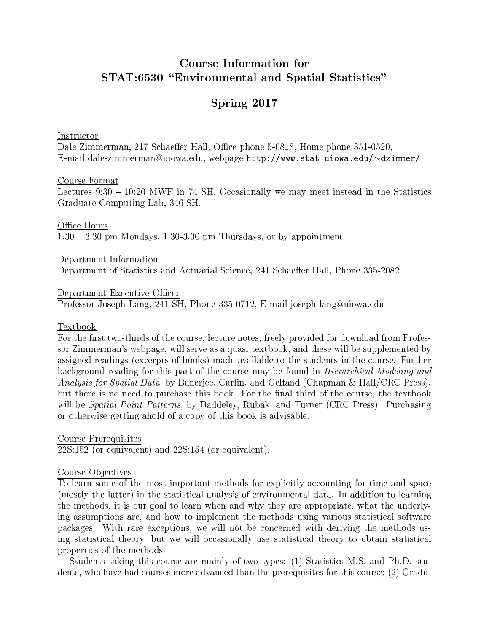# **Course Information for** STAT:6530 "Environmental and Spatial Statistics"

## Spring 2017

Instructor

Dale Zimmerman, 217 Schaeffer Hall, Office phone 5-0818, Home phone 351-0520, E-mail dale-zimmerman@uiowa.edu, webpage http://www.stat.uiowa.edu/~dzimmer/

#### Course Format

Lectures  $9:30 - 10:20$  MWF in 74 SH. Occasionally we may meet instead in the Statistics Graduate Computing Lab, 346 SH.

Office Hours  $1:30-3:30$  pm Mondays, 1:30-3:00 pm Thursdays, or by appointment

Department Information Department of Statistics and Actuarial Science, 241 Schaeffer Hall, Phone 335-2082

Department Executive Officer Professor Joseph Lang, 241 SH, Phone 335-0712, E-mail joseph-lang@uiowa.edu

#### Textbook

For the first two-thirds of the course, lecture notes, freely provided for download from Professor Zimmerman's webpage, will serve as a quasi-textbook, and these will be supplemented by assigned readings (excerpts of books) made available to the students in the course. Further background reading for this part of the course may be found in *Hierarchical Modeling and Analysis for Spatial Data,* by Banerjee, Carlin, and Gelfand (Chapman & Hall/CRC Press), but there is no need to purchase this book. For the final third of the course, the textbook will be *Spatial Point Patterns*, by Baddeley, Rubak, and Turner (CRC Press). Purchasing or otherwise getting ahold of a copy of this book is advisable.

Course Prerequisites  $22S:152$  (or equivalent) and  $22S:154$  (or equivalent).

#### Course Objectives

To learn some of the most important methods for explicitly accounting for time and space (mostly the latter) in the statistical analysis of environmental data. In addition to learning the methods, it is our goal to learn when and why they are appropriate, what the underlying assumptions are, and how to implement the methods using various statistical software packages. With rare exceptions, we will not be concerned with deriving the methods using statistical theory, but we will occasionally use statistical theory to obtain statistical properties of the methods.

Students taking this course are mainly of two types: (1) Statistics M.S. and Ph.D. students, who have had courses more advanced than the prerequisites for this course; (2) Gradu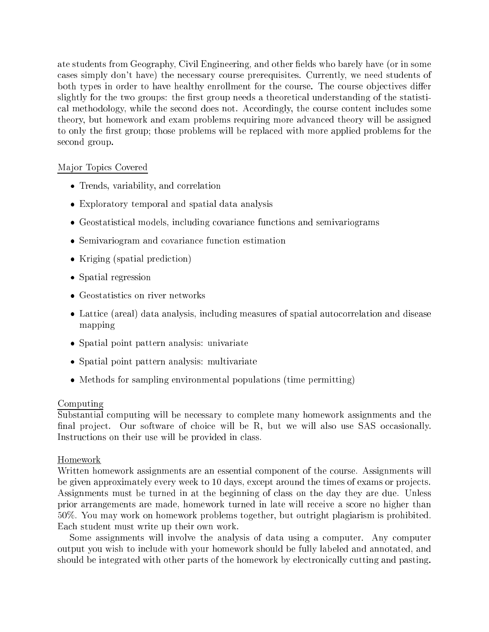ate students from Geography, Civil Engineering, and other fields who barely have (or in some ases simply don't have) the ne
essary ourse prerequisites. Currently, we need students of both types in order to have healthy enrollment for the course. The course objectives differ slightly for the two groups: the first group needs a theoretical understanding of the statistical methodology, while the second does not. Accordingly, the course content includes some theory, but homework and exam problems requiring more advan
ed theory will be assigned to only the first group; those problems will be replaced with more applied problems for the second group.

## Ma jor Topi
s Covered

- Trends, variability, and correlation
- Exploratory temporal and spatial data analysis
- Geostatistical models, including covariance functions and semivariograms
- Semivariogram and covariance function estimation
- Kriging (spatial prediction)
- Spatial regression
- $\bullet$  Geostatistics on river networks
- Lattice (areal) data analysis, including measures of spatial autocorrelation and disease mapping
- Spatial point pattern analysis: univariate
- Spatial point pattern analysis: multivariate
- Methods for sampling environmental populations (time permitting)

## Computing

Substantial omputing will be ne
essary to omplete many homework assignments and the final project. Our software of choice will be R, but we will also use SAS occasionally. Instructions on their use will be provided in class.

## Homework

Written homework assignments are an essential component of the course. Assignments will be given approximately every week to 10 days, except around the times of exams or projects. Assignments must be turned in at the beginning of class on the day they are due. Unless prior arrangements are made, homework turned in late will re
eive a s
ore no higher than 50%. You may work on homework problems together, but outright plagiarism is prohibited. Ea
h student must write up their own work.

Some assignments will involve the analysis of data using a computer. Any computer output you wish to in
lude with your homework should be fully labeled and annotated, and should be integrated with other parts of the homework by electronically cutting and pasting.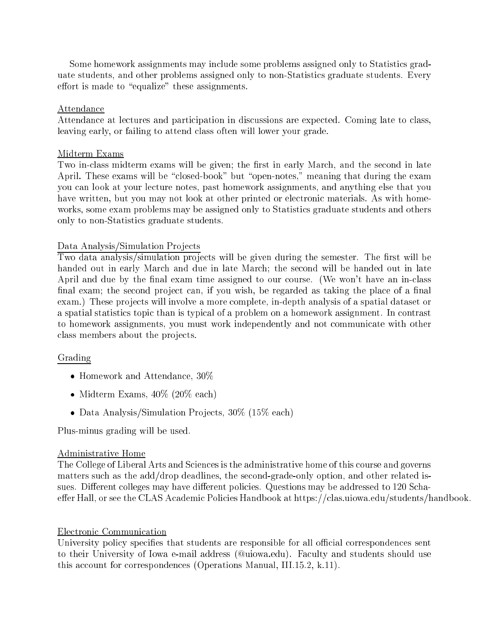Some homework assignments may in
lude some problems assigned only to Statisti
s graduate students, and other problems assigned only to non-Statisti
s graduate students. Every effort is made to "equalize" these assignments.

#### Attendan
e

Attendance at lectures and participation in discussions are expected. Coming late to class, leaving early, or failing to attend class often will lower your grade.

#### Midterm Exams

Two in-class midterm exams will be given; the first in early March, and the second in late April. These exams will be "closed-book" but "open-notes," meaning that during the exam you an look at your le
ture notes, past homework assignments, and anything else that you have written, but you may not look at other printed or electronic materials. As with homeworks, some exam problems may be assigned only to Statisti
s graduate students and others only to non-Statisti
s graduate students.

#### Data Analysis/Simulation Projects

Two data analysis/simulation projects will be given during the semester. The first will be handed out in early March and due in late March; the second will be handed out in late April and due by the final exam time assigned to our course. (We won't have an in-class final exam; the second project can, if you wish, be regarded as taking the place of a final exam.) These projects will involve a more complete, in-depth analysis of a spatial dataset or a spatial statistics topic than is typical of a problem on a homework assignment. In contrast to homework assignments, you must work independently and not communicate with other class members about the projects.

#### Grading

- Homework and Attendan
e, 30%
- Midterm Exams,  $40\%$  (20% each)
- Data Analysis/Simulation Projects,  $30\%$  (15% each)

Plus-minus grading will be used.

#### Administrative Home

The College of Liberal Arts and Sciences is the administrative home of this course and governs matters su
h as the add/drop deadlines, the se
ond-grade-only option, and other related issues. Different colleges may have different policies. Questions may be addressed to 120 Schaeffer Hall, or see the CLAS Academic Policies Handbook at https://clas.uiowa.edu/students/handbook.

#### Electronic Communication

University policy specifies that students are responsible for all official correspondences sent to their University of Iowa e-mail address (Quiowa.edu). Faculty and students should use this account for correspondences (Operations Manual, III.15.2, k.11).